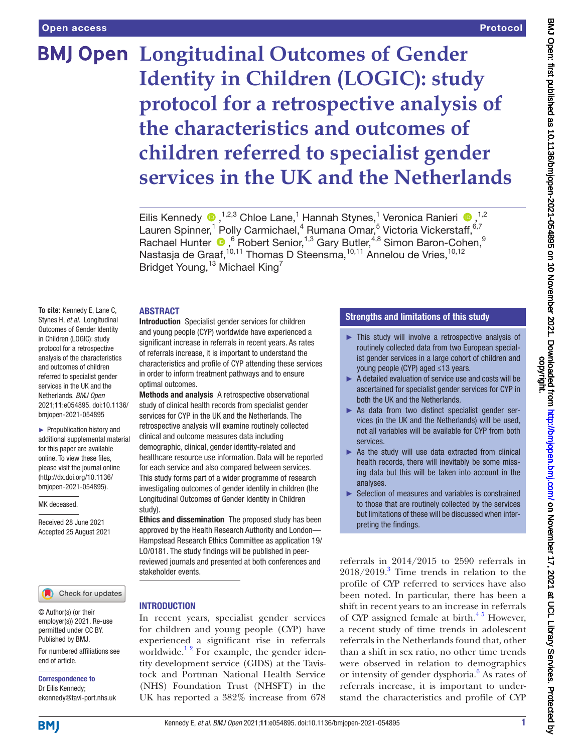# **BMJ Open Longitudinal Outcomes of Gender Identity in Children (LOGIC): study protocol for a retrospective analysis of the characteristics and outcomes of children referred to specialist gender services in the UK and the Netherlands**

EilisKennedy <sup>®</sup>,<sup>1,2,3</sup> Chloe Lane,<sup>1</sup> Hannah Stynes,<sup>1</sup> Veronica Ranieri <sup>®</sup>,<sup>1,2</sup> Lauren Spinner,<sup>1</sup> Polly Carmichael,<sup>4</sup> Rumana Omar,<sup>5</sup> Victoria Vickerstaff, 6,7 Rachael Hunter  $\bigcirc$ , <sup>6</sup> Robert Senior, <sup>1,3</sup> Gary Butler, <sup>4,8</sup> Simon Baron-Cohen, <sup>9</sup> Nastasja de Graaf,<sup>10,11</sup> Thomas D Steensma,<sup>10,11</sup> Annelou de Vries,<sup>10,12</sup> Bridget Young,<sup>13</sup> Michael King<sup>7</sup>

## ABSTRACT

**To cite:** Kennedy E, Lane C, Stynes H, *et al*. Longitudinal Outcomes of Gender Identity in Children (LOGIC): study protocol for a retrospective analysis of the characteristics and outcomes of children referred to specialist gender services in the UK and the Netherlands. *BMJ Open* 2021;11:e054895. doi:10.1136/ bmjopen-2021-054895

► Prepublication history and additional supplemental material for this paper are available online. To view these files, please visit the journal online [\(http://dx.doi.org/10.1136/](http://dx.doi.org/10.1136/bmjopen-2021-054895) [bmjopen-2021-054895](http://dx.doi.org/10.1136/bmjopen-2021-054895)).

#### MK deceased.

Received 28 June 2021 Accepted 25 August 2021

#### Check for updates

© Author(s) (or their employer(s)) 2021. Re-use permitted under CC BY. Published by BMJ.

For numbered affiliations see end of article.

### Correspondence to Dr Eilis Kennedy; ekennedy@tavi-port.nhs.uk

Introduction Specialist gender services for children and young people (CYP) worldwide have experienced a significant increase in referrals in recent years. As rates of referrals increase, it is important to understand the characteristics and profile of CYP attending these services in order to inform treatment pathways and to ensure optimal outcomes.

Methods and analysis A retrospective observational study of clinical health records from specialist gender services for CYP in the UK and the Netherlands. The retrospective analysis will examine routinely collected clinical and outcome measures data including demographic, clinical, gender identity-related and healthcare resource use information. Data will be reported for each service and also compared between services. This study forms part of a wider programme of research investigating outcomes of gender identity in children (the Longitudinal Outcomes of Gender Identity in Children study).

Ethics and dissemination The proposed study has been approved by the Health Research Authority and London— Hampstead Research Ethics Committee as application 19/ LO/0181. The study findings will be published in peerreviewed journals and presented at both conferences and stakeholder events.

### INTRODUCTION

In recent years, specialist gender services for children and young people (CYP) have experienced a significant rise in referrals worldwide.<sup>12</sup> For example, the gender identity development service (GIDS) at the Tavistock and Portman National Health Service (NHS) Foundation Trust (NHSFT) in the UK has reported a 382% increase from 678

## Strengths and limitations of this study

- ► This study will involve a retrospective analysis of routinely collected data from two European specialist gender services in a large cohort of children and young people (CYP) aged ≤13 years.
- ► A detailed evaluation of service use and costs will be ascertained for specialist gender services for CYP in both the UK and the Netherlands.
- ► As data from two distinct specialist gender services (in the UK and the Netherlands) will be used, not all variables will be available for CYP from both services.
- $\triangleright$  As the study will use data extracted from clinical health records, there will inevitably be some missing data but this will be taken into account in the analyses.
- ► Selection of measures and variables is constrained to those that are routinely collected by the services but limitations of these will be discussed when interpreting the findings.

referrals in 2014/2015 to 2590 referrals in  $2018/2019$ .<sup>3</sup> Time trends in relation to the profile of CYP referred to services have also been noted. In particular, there has been a shift in recent years to an increase in referrals of CYP assigned female at birth. $4\frac{1}{2}$  However, a recent study of time trends in adolescent referrals in the Netherlands found that, other than a shift in sex ratio, no other time trends were observed in relation to demographics or intensity of gender dysphoria.<sup>[6](#page-6-3)</sup> As rates of referrals increase, it is important to understand the characteristics and profile of CYP

**BMI**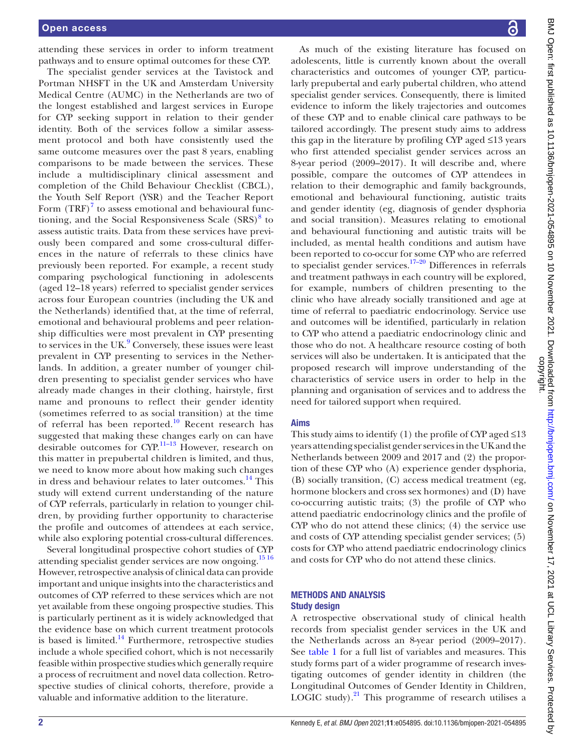attending these services in order to inform treatment pathways and to ensure optimal outcomes for these CYP.

The specialist gender services at the Tavistock and Portman NHSFT in the UK and Amsterdam University Medical Centre (AUMC) in the Netherlands are two of the longest established and largest services in Europe for CYP seeking support in relation to their gender identity. Both of the services follow a similar assessment protocol and both have consistently used the same outcome measures over the past 8 years, enabling comparisons to be made between the services. These include a multidisciplinary clinical assessment and completion of the Child Behaviour Checklist (CBCL), the Youth Self Report (YSR) and the Teacher Report Form  $(TRF)^7$  $(TRF)^7$  to assess emotional and behavioural func-tioning, and the Social Responsiveness Scale (SRS)<sup>[8](#page-6-5)</sup> to assess autistic traits. Data from these services have previously been compared and some cross-cultural differences in the nature of referrals to these clinics have previously been reported. For example, a recent study comparing psychological functioning in adolescents (aged 12–18 years) referred to specialist gender services across four European countries (including the UK and the Netherlands) identified that, at the time of referral, emotional and behavioural problems and peer relationship difficulties were most prevalent in CYP presenting to services in the UK.<sup>[9](#page-6-6)</sup> Conversely, these issues were least prevalent in CYP presenting to services in the Netherlands. In addition, a greater number of younger children presenting to specialist gender services who have already made changes in their clothing, hairstyle, first name and pronouns to reflect their gender identity (sometimes referred to as social transition) at the time of referral has been reported.<sup>[10](#page-6-7)</sup> Recent research has suggested that making these changes early on can have desirable outcomes for CYP.<sup>11-13</sup> However, research on this matter in prepubertal children is limited, and thus, we need to know more about how making such changes in dress and behaviour relates to later outcomes.<sup>[14](#page-6-9)</sup> This study will extend current understanding of the nature of CYP referrals, particularly in relation to younger children, by providing further opportunity to characterise the profile and outcomes of attendees at each service, while also exploring potential cross-cultural differences.

Several longitudinal prospective cohort studies of CYP attending specialist gender services are now ongoing.<sup>1516</sup> However, retrospective analysis of clinical data can provide important and unique insights into the characteristics and outcomes of CYP referred to these services which are not yet available from these ongoing prospective studies. This is particularly pertinent as it is widely acknowledged that the evidence base on which current treatment protocols is based is limited. $^{14}$  Furthermore, retrospective studies include a whole specified cohort, which is not necessarily feasible within prospective studies which generally require a process of recruitment and novel data collection. Retrospective studies of clinical cohorts, therefore, provide a valuable and informative addition to the literature.

As much of the existing literature has focused on adolescents, little is currently known about the overall characteristics and outcomes of younger CYP, particularly prepubertal and early pubertal children, who attend specialist gender services. Consequently, there is limited evidence to inform the likely trajectories and outcomes of these CYP and to enable clinical care pathways to be tailored accordingly. The present study aims to address this gap in the literature by profiling CYP aged ≤13 years who first attended specialist gender services across an 8-year period (2009–2017). It will describe and, where possible, compare the outcomes of CYP attendees in relation to their demographic and family backgrounds, emotional and behavioural functioning, autistic traits and gender identity (eg, diagnosis of gender dysphoria and social transition). Measures relating to emotional and behavioural functioning and autistic traits will be included, as mental health conditions and autism have been reported to co-occur for some CYP who are referred to specialist gender services.<sup>17–20</sup> Differences in referrals and treatment pathways in each country will be explored, for example, numbers of children presenting to the clinic who have already socially transitioned and age at time of referral to paediatric endocrinology. Service use and outcomes will be identified, particularly in relation to CYP who attend a paediatric endocrinology clinic and those who do not. A healthcare resource costing of both services will also be undertaken. It is anticipated that the proposed research will improve understanding of the characteristics of service users in order to help in the planning and organisation of services and to address the need for tailored support when required.

### Aims

This study aims to identify (1) the profile of CYP aged  $\leq 13$ years attending specialist gender services in the UK and the Netherlands between 2009 and 2017 and (2) the proportion of these CYP who (A) experience gender dysphoria, (B) socially transition, (C) access medical treatment (eg, hormone blockers and cross sex hormones) and (D) have co-occurring autistic traits; (3) the profile of CYP who attend paediatric endocrinology clinics and the profile of CYP who do not attend these clinics; (4) the service use and costs of CYP attending specialist gender services; (5) costs for CYP who attend paediatric endocrinology clinics and costs for CYP who do not attend these clinics.

## METHODS AND ANALYSIS Study design

A retrospective observational study of clinical health records from specialist gender services in the UK and the Netherlands across an 8-year period (2009–2017). See [table](#page-2-0) 1 for a full list of variables and measures. This study forms part of a wider programme of research investigating outcomes of gender identity in children (the Longitudinal Outcomes of Gender Identity in Children, LOGIC study). $^{21}$  This programme of research utilises a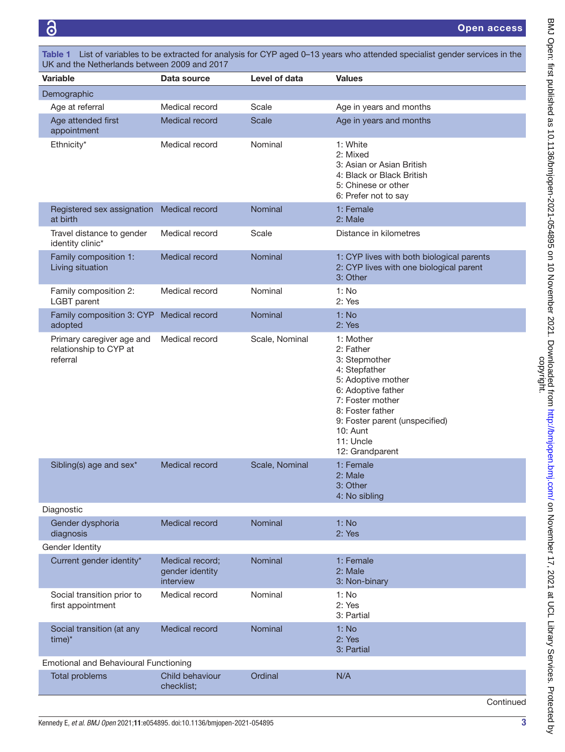ි

<span id="page-2-0"></span>

| <b>Variable</b>                                                 | Data source                                     | Level of data  | <b>Values</b>                                                                                                                                                                                                              |
|-----------------------------------------------------------------|-------------------------------------------------|----------------|----------------------------------------------------------------------------------------------------------------------------------------------------------------------------------------------------------------------------|
| Demographic                                                     |                                                 |                |                                                                                                                                                                                                                            |
| Age at referral                                                 | Medical record                                  | Scale          | Age in years and months                                                                                                                                                                                                    |
| Age attended first<br>appointment                               | Medical record                                  | <b>Scale</b>   | Age in years and months                                                                                                                                                                                                    |
| Ethnicity*                                                      | Medical record                                  | Nominal        | 1: White<br>2: Mixed<br>3: Asian or Asian British<br>4: Black or Black British<br>5: Chinese or other<br>6: Prefer not to say                                                                                              |
| Registered sex assignation<br>at birth                          | Medical record                                  | Nominal        | 1: Female<br>2: Male                                                                                                                                                                                                       |
| Travel distance to gender<br>identity clinic*                   | Medical record                                  | Scale          | Distance in kilometres                                                                                                                                                                                                     |
| Family composition 1:<br>Living situation                       | Medical record                                  | Nominal        | 1: CYP lives with both biological parents<br>2: CYP lives with one biological parent<br>3: Other                                                                                                                           |
| Family composition 2:<br><b>LGBT</b> parent                     | Medical record                                  | Nominal        | 1: No<br>2: Yes                                                                                                                                                                                                            |
| Family composition 3: CYP<br>adopted                            | Medical record                                  | Nominal        | 1: No<br>2: Yes                                                                                                                                                                                                            |
| Primary caregiver age and<br>relationship to CYP at<br>referral | Medical record                                  | Scale, Nominal | 1: Mother<br>2: Father<br>3: Stepmother<br>4: Stepfather<br>5: Adoptive mother<br>6: Adoptive father<br>7: Foster mother<br>8: Foster father<br>9: Foster parent (unspecified)<br>10: Aunt<br>11: Uncle<br>12: Grandparent |
| Sibling(s) age and sex*                                         | Medical record                                  | Scale, Nominal | 1: Female<br>2: Male<br>3: Other<br>4: No sibling                                                                                                                                                                          |
| Diagnostic                                                      |                                                 |                |                                                                                                                                                                                                                            |
| Gender dysphoria<br>diagnosis                                   | <b>Medical record</b>                           | Nominal        | 1: No<br>2: Yes                                                                                                                                                                                                            |
| Gender Identity                                                 |                                                 |                |                                                                                                                                                                                                                            |
| Current gender identity*                                        | Medical record;<br>gender identity<br>interview | Nominal        | 1: Female<br>2: Male<br>3: Non-binary                                                                                                                                                                                      |
| Social transition prior to<br>first appointment                 | Medical record                                  | Nominal        | 1: No<br>2: Yes<br>3: Partial                                                                                                                                                                                              |
| Social transition (at any<br>$time)^*$                          | Medical record                                  | Nominal        | 1: No<br>2: Yes<br>3: Partial                                                                                                                                                                                              |
| <b>Emotional and Behavioural Functioning</b>                    |                                                 |                |                                                                                                                                                                                                                            |
| <b>Total problems</b>                                           | Child behaviour                                 | Ordinal        | N/A                                                                                                                                                                                                                        |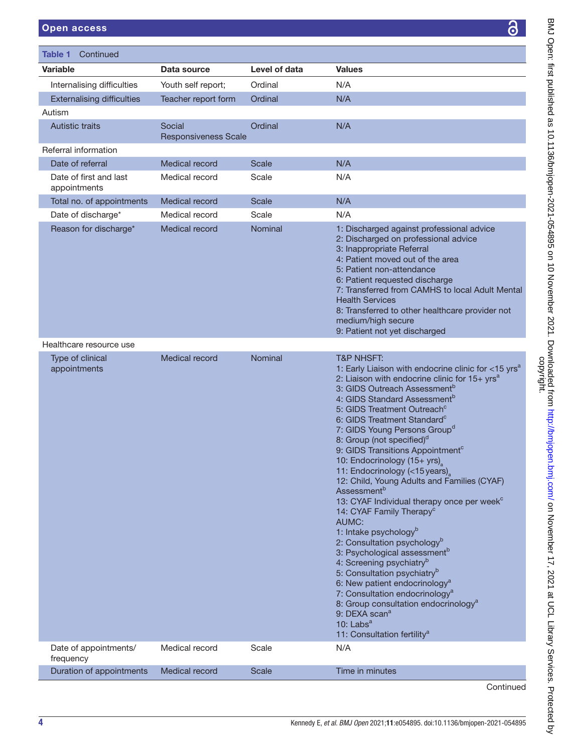|                                                           |                                  |                  | 3                                                                                                                                                                                                                                                                                                                                                                                                                                                                                                                                                                                                                                                                                                                                                                                                                                                                                                                                                                                                                                                                                                                                                                                                |
|-----------------------------------------------------------|----------------------------------|------------------|--------------------------------------------------------------------------------------------------------------------------------------------------------------------------------------------------------------------------------------------------------------------------------------------------------------------------------------------------------------------------------------------------------------------------------------------------------------------------------------------------------------------------------------------------------------------------------------------------------------------------------------------------------------------------------------------------------------------------------------------------------------------------------------------------------------------------------------------------------------------------------------------------------------------------------------------------------------------------------------------------------------------------------------------------------------------------------------------------------------------------------------------------------------------------------------------------|
| Table 1<br>Continued                                      |                                  |                  |                                                                                                                                                                                                                                                                                                                                                                                                                                                                                                                                                                                                                                                                                                                                                                                                                                                                                                                                                                                                                                                                                                                                                                                                  |
| <b>Variable</b>                                           | Data source                      | Level of data    | <b>Values</b>                                                                                                                                                                                                                                                                                                                                                                                                                                                                                                                                                                                                                                                                                                                                                                                                                                                                                                                                                                                                                                                                                                                                                                                    |
| Internalising difficulties                                | Youth self report;               | Ordinal          | N/A                                                                                                                                                                                                                                                                                                                                                                                                                                                                                                                                                                                                                                                                                                                                                                                                                                                                                                                                                                                                                                                                                                                                                                                              |
| <b>Externalising difficulties</b>                         | Teacher report form              | Ordinal          | N/A                                                                                                                                                                                                                                                                                                                                                                                                                                                                                                                                                                                                                                                                                                                                                                                                                                                                                                                                                                                                                                                                                                                                                                                              |
| Autism                                                    |                                  |                  |                                                                                                                                                                                                                                                                                                                                                                                                                                                                                                                                                                                                                                                                                                                                                                                                                                                                                                                                                                                                                                                                                                                                                                                                  |
| <b>Autistic traits</b>                                    | Social                           | Ordinal          | N/A                                                                                                                                                                                                                                                                                                                                                                                                                                                                                                                                                                                                                                                                                                                                                                                                                                                                                                                                                                                                                                                                                                                                                                                              |
|                                                           | <b>Responsiveness Scale</b>      |                  |                                                                                                                                                                                                                                                                                                                                                                                                                                                                                                                                                                                                                                                                                                                                                                                                                                                                                                                                                                                                                                                                                                                                                                                                  |
| Referral information                                      |                                  |                  |                                                                                                                                                                                                                                                                                                                                                                                                                                                                                                                                                                                                                                                                                                                                                                                                                                                                                                                                                                                                                                                                                                                                                                                                  |
| Date of referral                                          | Medical record                   | Scale            | N/A                                                                                                                                                                                                                                                                                                                                                                                                                                                                                                                                                                                                                                                                                                                                                                                                                                                                                                                                                                                                                                                                                                                                                                                              |
| Date of first and last<br>appointments                    | Medical record                   | Scale            | N/A                                                                                                                                                                                                                                                                                                                                                                                                                                                                                                                                                                                                                                                                                                                                                                                                                                                                                                                                                                                                                                                                                                                                                                                              |
| Total no. of appointments                                 | Medical record                   | Scale            | N/A                                                                                                                                                                                                                                                                                                                                                                                                                                                                                                                                                                                                                                                                                                                                                                                                                                                                                                                                                                                                                                                                                                                                                                                              |
| Date of discharge*<br>Reason for discharge*               | Medical record<br>Medical record | Scale<br>Nominal | N/A<br>1: Discharged against professional advice                                                                                                                                                                                                                                                                                                                                                                                                                                                                                                                                                                                                                                                                                                                                                                                                                                                                                                                                                                                                                                                                                                                                                 |
|                                                           |                                  |                  | 2: Discharged on professional advice<br>3: Inappropriate Referral<br>4: Patient moved out of the area<br>5: Patient non-attendance<br>6: Patient requested discharge<br>7: Transferred from CAMHS to local Adult Mental<br><b>Health Services</b><br>8: Transferred to other healthcare provider not<br>medium/high secure<br>9: Patient not yet discharged                                                                                                                                                                                                                                                                                                                                                                                                                                                                                                                                                                                                                                                                                                                                                                                                                                      |
| Healthcare resource use                                   |                                  |                  |                                                                                                                                                                                                                                                                                                                                                                                                                                                                                                                                                                                                                                                                                                                                                                                                                                                                                                                                                                                                                                                                                                                                                                                                  |
| Type of clinical<br>appointments<br>Date of appointments/ | Medical record<br>Medical record | Nominal<br>Scale | <b>T&amp;P NHSFT:</b><br>1: Early Liaison with endocrine clinic for <15 yrs <sup>a</sup><br>2: Liaison with endocrine clinic for 15+ yrs <sup>a</sup><br>3: GIDS Outreach Assessment <sup>b</sup><br>4: GIDS Standard Assessment <sup>b</sup><br>5: GIDS Treatment Outreach <sup>c</sup><br>6: GIDS Treatment Standard <sup>c</sup><br>7: GIDS Young Persons Group <sup>d</sup><br>8: Group (not specified) <sup>d</sup><br>9: GIDS Transitions Appointment <sup>c</sup><br>10: Endocrinology (15+ yrs)<br>11: Endocrinology (<15 years)<br>12: Child, Young Adults and Families (CYAF)<br><b>Assessment</b> <sup>b</sup><br>13: CYAF Individual therapy once per week <sup>c</sup><br>14: CYAF Family Therapy <sup>c</sup><br>AUMC:<br>1: Intake psychology <sup>b</sup><br>2: Consultation psychology <sup>b</sup><br>3: Psychological assessment <sup>b</sup><br>4: Screening psychiatry <sup>b</sup><br>5: Consultation psychiatry <sup>b</sup><br>6: New patient endocrinology <sup>a</sup><br>7: Consultation endocrinology <sup>a</sup><br>8: Group consultation endocrinology <sup>a</sup><br>9: DEXA scan <sup>a</sup><br>10: $Labsa$<br>11: Consultation fertility <sup>a</sup><br>N/A |
| frequency                                                 |                                  |                  |                                                                                                                                                                                                                                                                                                                                                                                                                                                                                                                                                                                                                                                                                                                                                                                                                                                                                                                                                                                                                                                                                                                                                                                                  |
| Duration of appointments                                  | Medical record                   | <b>Scale</b>     | Time in minutes                                                                                                                                                                                                                                                                                                                                                                                                                                                                                                                                                                                                                                                                                                                                                                                                                                                                                                                                                                                                                                                                                                                                                                                  |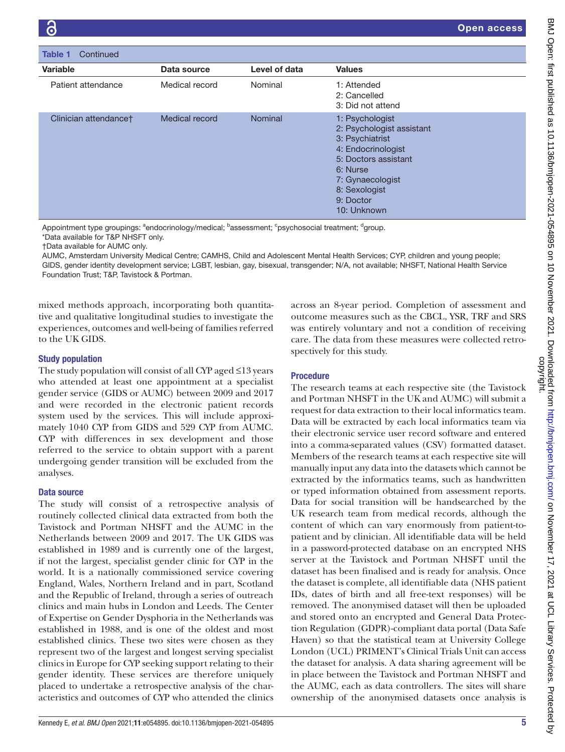| Continued<br>Table 1  |                |                |                                                                                                                                                                                            |
|-----------------------|----------------|----------------|--------------------------------------------------------------------------------------------------------------------------------------------------------------------------------------------|
| Variable              | Data source    | Level of data  | <b>Values</b>                                                                                                                                                                              |
| Patient attendance    | Medical record | Nominal        | 1: Attended<br>2: Cancelled<br>3: Did not attend                                                                                                                                           |
| Clinician attendancet | Medical record | <b>Nominal</b> | 1: Psychologist<br>2: Psychologist assistant<br>3: Psychiatrist<br>4: Endocrinologist<br>5: Doctors assistant<br>6: Nurse<br>7: Gynaecologist<br>8: Sexologist<br>9: Doctor<br>10: Unknown |

Appointment type groupings: <sup>a</sup>endocrinology/medical; <sup>b</sup>assessment; <sup>c</sup>psychosocial treatment; <sup>d</sup>group.

\*Data available for T&P NHSFT only.

†Data available for AUMC only.

AUMC, Amsterdam University Medical Centre; CAMHS, Child and Adolescent Mental Health Services; CYP, children and young people; GIDS, gender identity development service; LGBT, lesbian, gay, bisexual, transgender; N/A, not available; NHSFT, National Health Service Foundation Trust; T&P, Tavistock & Portman.

mixed methods approach, incorporating both quantitative and qualitative longitudinal studies to investigate the experiences, outcomes and well-being of families referred to the UK GIDS.

## Study population

The study population will consist of all CYP aged ≤13 years who attended at least one appointment at a specialist gender service (GIDS or AUMC) between 2009 and 2017 and were recorded in the electronic patient records system used by the services. This will include approximately 1040 CYP from GIDS and 529 CYP from AUMC. CYP with differences in sex development and those referred to the service to obtain support with a parent undergoing gender transition will be excluded from the analyses.

## Data source

The study will consist of a retrospective analysis of routinely collected clinical data extracted from both the Tavistock and Portman NHSFT and the AUMC in the Netherlands between 2009 and 2017. The UK GIDS was established in 1989 and is currently one of the largest, if not the largest, specialist gender clinic for CYP in the world. It is a nationally commissioned service covering England, Wales, Northern Ireland and in part, Scotland and the Republic of Ireland, through a series of outreach clinics and main hubs in London and Leeds. The Center of Expertise on Gender Dysphoria in the Netherlands was established in 1988, and is one of the oldest and most established clinics. These two sites were chosen as they represent two of the largest and longest serving specialist clinics in Europe for CYP seeking support relating to their gender identity. These services are therefore uniquely placed to undertake a retrospective analysis of the characteristics and outcomes of CYP who attended the clinics

across an 8-year period. Completion of assessment and outcome measures such as the CBCL, YSR, TRF and SRS was entirely voluntary and not a condition of receiving care. The data from these measures were collected retrospectively for this study.

# Procedure

The research teams at each respective site (the Tavistock and Portman NHSFT in the UK and AUMC) will submit a request for data extraction to their local informatics team. Data will be extracted by each local informatics team via their electronic service user record software and entered into a comma-separated values (CSV) formatted dataset. Members of the research teams at each respective site will manually input any data into the datasets which cannot be extracted by the informatics teams, such as handwritten or typed information obtained from assessment reports. Data for social transition will be handsearched by the UK research team from medical records, although the content of which can vary enormously from patient-topatient and by clinician. All identifiable data will be held in a password-protected database on an encrypted NHS server at the Tavistock and Portman NHSFT until the dataset has been finalised and is ready for analysis. Once the dataset is complete, all identifiable data (NHS patient IDs, dates of birth and all free-text responses) will be removed. The anonymised dataset will then be uploaded and stored onto an encrypted and General Data Protection Regulation (GDPR)-compliant data portal (Data Safe Haven) so that the statistical team at University College London (UCL) PRIMENT's Clinical Trials Unit can access the dataset for analysis. A data sharing agreement will be in place between the Tavistock and Portman NHSFT and the AUMC, each as data controllers. The sites will share ownership of the anonymised datasets once analysis is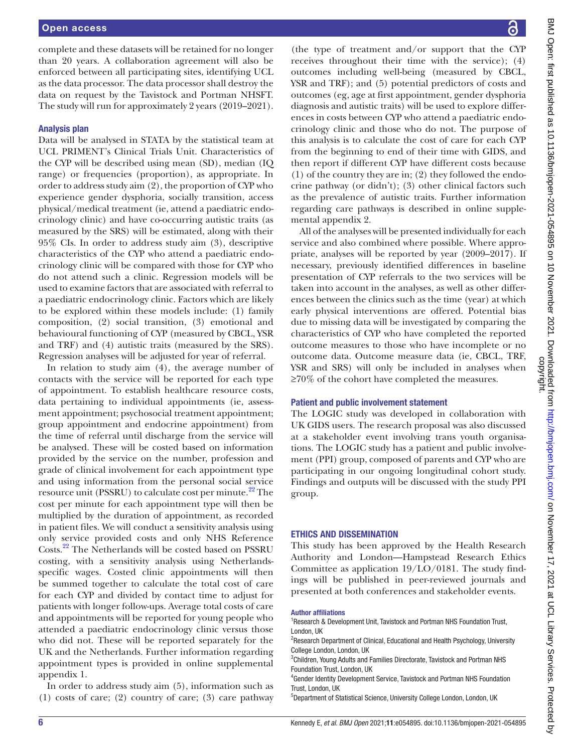complete and these datasets will be retained for no longer than 20 years. A collaboration agreement will also be enforced between all participating sites, identifying UCL as the data processor. The data processor shall destroy the data on request by the Tavistock and Portman NHSFT. The study will run for approximately 2 years (2019–2021).

## Analysis plan

Data will be analysed in STATA by the statistical team at UCL PRIMENT's Clinical Trials Unit. Characteristics of the CYP will be described using mean (SD), median (IQ range) or frequencies (proportion), as appropriate. In order to address study aim (2), the proportion of CYP who experience gender dysphoria, socially transition, access physical/medical treatment (ie, attend a paediatric endocrinology clinic) and have co-occurring autistic traits (as measured by the SRS) will be estimated, along with their 95% CIs. In order to address study aim (3), descriptive characteristics of the CYP who attend a paediatric endocrinology clinic will be compared with those for CYP who do not attend such a clinic. Regression models will be used to examine factors that are associated with referral to a paediatric endocrinology clinic. Factors which are likely to be explored within these models include: (1) family composition, (2) social transition, (3) emotional and behavioural functioning of CYP (measured by CBCL, YSR and TRF) and (4) autistic traits (measured by the SRS). Regression analyses will be adjusted for year of referral.

In relation to study aim (4), the average number of contacts with the service will be reported for each type of appointment. To establish healthcare resource costs, data pertaining to individual appointments (ie, assessment appointment; psychosocial treatment appointment; group appointment and endocrine appointment) from the time of referral until discharge from the service will be analysed. These will be costed based on information provided by the service on the number, profession and grade of clinical involvement for each appointment type and using information from the personal social service resource unit (PSSRU) to calculate cost per minute.<sup>22</sup> The cost per minute for each appointment type will then be multiplied by the duration of appointment, as recorded in patient files. We will conduct a sensitivity analysis using only service provided costs and only NHS Reference Costs.[22](#page-6-13) The Netherlands will be costed based on PSSRU costing, with a sensitivity analysis using Netherlandsspecific wages. Costed clinic appointments will then be summed together to calculate the total cost of care for each CYP and divided by contact time to adjust for patients with longer follow-ups. Average total costs of care and appointments will be reported for young people who attended a paediatric endocrinology clinic versus those who did not. These will be reported separately for the UK and the Netherlands. Further information regarding appointment types is provided in [online supplemental](https://dx.doi.org/10.1136/bmjopen-2021-054895) [appendix 1](https://dx.doi.org/10.1136/bmjopen-2021-054895).

In order to address study aim (5), information such as (1) costs of care; (2) country of care; (3) care pathway

(the type of treatment and/or support that the CYP receives throughout their time with the service); (4) outcomes including well-being (measured by CBCL, YSR and TRF); and (5) potential predictors of costs and outcomes (eg, age at first appointment, gender dysphoria diagnosis and autistic traits) will be used to explore differences in costs between CYP who attend a paediatric endocrinology clinic and those who do not. The purpose of this analysis is to calculate the cost of care for each CYP from the beginning to end of their time with GIDS, and then report if different CYP have different costs because (1) of the country they are in; (2) they followed the endocrine pathway (or didn't); (3) other clinical factors such as the prevalence of autistic traits. Further information regarding care pathways is described in [online supple](https://dx.doi.org/10.1136/bmjopen-2021-054895)[mental appendix 2.](https://dx.doi.org/10.1136/bmjopen-2021-054895)

All of the analyses will be presented individually for each service and also combined where possible. Where appropriate, analyses will be reported by year (2009–2017). If necessary, previously identified differences in baseline presentation of CYP referrals to the two services will be taken into account in the analyses, as well as other differences between the clinics such as the time (year) at which early physical interventions are offered. Potential bias due to missing data will be investigated by comparing the characteristics of CYP who have completed the reported outcome measures to those who have incomplete or no outcome data. Outcome measure data (ie, CBCL, TRF, YSR and SRS) will only be included in analyses when ≥70% of the cohort have completed the measures.

## Patient and public involvement statement

The LOGIC study was developed in collaboration with UK GIDS users. The research proposal was also discussed at a stakeholder event involving trans youth organisations. The LOGIC study has a patient and public involvement (PPI) group, composed of parents and CYP who are participating in our ongoing longitudinal cohort study. Findings and outputs will be discussed with the study PPI group.

# ETHICS AND DISSEMINATION

This study has been approved by the Health Research Authority and London—Hampstead Research Ethics Committee as application 19/LO/0181. The study findings will be published in peer-reviewed journals and presented at both conferences and stakeholder events.

## Author affiliations

<sup>1</sup> Research & Development Unit, Tavistock and Portman NHS Foundation Trust, London, UK

<sup>2</sup>Research Department of Clinical, Educational and Health Psychology, University College London, London, UK

<sup>3</sup>Children, Young Adults and Families Directorate, Tavistock and Portman NHS Foundation Trust, London, UK

4 Gender Identity Development Service, Tavistock and Portman NHS Foundation Trust, London, UK

<sup>5</sup>Department of Statistical Science, University College London, London, UK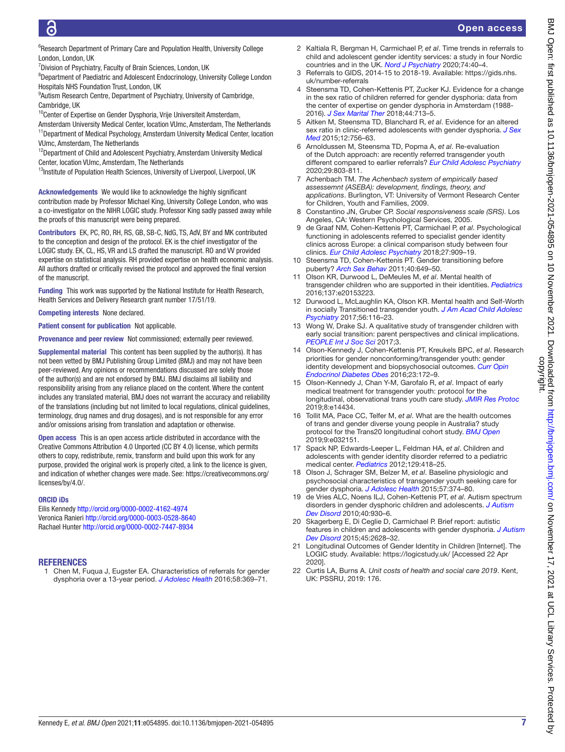<sup>6</sup>Research Department of Primary Care and Population Health, University College London, London, UK

<sup>7</sup> Division of Psychiatry, Faculty of Brain Sciences, London, UK

<sup>8</sup>Department of Paediatric and Adolescent Endocrinology, University College London Hospitals NHS Foundation Trust, London, UK

<sup>9</sup>Autism Research Centre, Department of Psychiatry, University of Cambridge, Cambridge, UK

<sup>10</sup>Center of Expertise on Gender Dysphoria, Vrije Universiteit Amsterdam,

Amsterdam University Medical Center, location VUmc, Amsterdam, The Netherlands <sup>11</sup> Department of Medical Psychology, Amsterdam University Medical Center, location VUmc, Amsterdam, The Netherlands

<sup>12</sup>Department of Child and Adolescent Psychiatry, Amsterdam University Medical Center, location VUmc, Amsterdam, The Netherlands

<sup>13</sup>Institute of Population Health Sciences, University of Liverpool, Liverpool, UK

Acknowledgements We would like to acknowledge the highly significant contribution made by Professor Michael King, University College London, who was a co-investigator on the NIHR LOGIC study. Professor King sadly passed away while the proofs of this manuscript were being prepared.

Contributors EK, PC, RO, RH, RS, GB, SB-C, NdG, TS, AdV, BY and MK contributed to the conception and design of the protocol. EK is the chief investigator of the LOGIC study. EK, CL, HS, VR and LS drafted the manuscript. RO and VV provided expertise on statistical analysis. RH provided expertise on health economic analysis. All authors drafted or critically revised the protocol and approved the final version of the manuscript.

Funding This work was supported by the National Institute for Health Research, Health Services and Delivery Research grant number 17/51/19.

Competing interests None declared.

Patient consent for publication Not applicable.

Provenance and peer review Not commissioned; externally peer reviewed.

Supplemental material This content has been supplied by the author(s). It has not been vetted by BMJ Publishing Group Limited (BMJ) and may not have been peer-reviewed. Any opinions or recommendations discussed are solely those of the author(s) and are not endorsed by BMJ. BMJ disclaims all liability and responsibility arising from any reliance placed on the content. Where the content includes any translated material, BMJ does not warrant the accuracy and reliability of the translations (including but not limited to local regulations, clinical guidelines, terminology, drug names and drug dosages), and is not responsible for any error and/or omissions arising from translation and adaptation or otherwise.

Open access This is an open access article distributed in accordance with the Creative Commons Attribution 4.0 Unported (CC BY 4.0) license, which permits others to copy, redistribute, remix, transform and build upon this work for any purpose, provided the original work is properly cited, a link to the licence is given, and indication of whether changes were made. See: [https://creativecommons.org/](https://creativecommons.org/licenses/by/4.0/) [licenses/by/4.0/.](https://creativecommons.org/licenses/by/4.0/)

### ORCID iDs

Eilis Kennedy <http://orcid.org/0000-0002-4162-4974> Veronica Ranieri<http://orcid.org/0000-0003-0528-8640> Rachael Hunter <http://orcid.org/0000-0002-7447-8934>

### **REFERENCES**

<span id="page-6-0"></span>1 Chen M, Fuqua J, Eugster EA. Characteristics of referrals for gender dysphoria over a 13-year period. *[J Adolesc Health](http://dx.doi.org/10.1016/j.jadohealth.2015.11.010)* 2016;58:369–71.

- 2 Kaltiala R, Bergman H, Carmichael P, *et al*. Time trends in referrals to child and adolescent gender identity services: a study in four Nordic countries and in the UK. *[Nord J Psychiatry](http://dx.doi.org/10.1080/08039488.2019.1667429)* 2020;74:40–4.
- <span id="page-6-1"></span>3 Referrals to GIDS, 2014-15 to 2018-19. Available: [https://gids.nhs.](https://gids.nhs.uk/number-referrals) [uk/number-referrals](https://gids.nhs.uk/number-referrals)
- <span id="page-6-2"></span>4 Steensma TD, Cohen-Kettenis PT, Zucker KJ. Evidence for a change in the sex ratio of children referred for gender dysphoria: data from the center of expertise on gender dysphoria in Amsterdam (1988- 2016). *[J Sex Marital Ther](http://dx.doi.org/10.1080/0092623X.2018.1437580)* 2018;44:713–5.
- 5 Aitken M, Steensma TD, Blanchard R, *et al*. Evidence for an altered sex ratio in clinic-referred adolescents with gender dysphoria. *[J Sex](http://dx.doi.org/10.1111/jsm.12817)  [Med](http://dx.doi.org/10.1111/jsm.12817)* 2015;12:756–63.
- <span id="page-6-3"></span>6 Arnoldussen M, Steensma TD, Popma A, *et al*. Re-evaluation of the Dutch approach: are recently referred transgender youth different compared to earlier referrals? *[Eur Child Adolesc Psychiatry](http://dx.doi.org/10.1007/s00787-019-01394-6)* 2020;29:803-811.
- <span id="page-6-4"></span>7 Achenbach TM. *The Achenbach system of empirically based assessemnt (ASEBA): development, findings, theory, and applications*. Burlington, VT: University of Vermont Research Center for Children, Youth and Families, 2009.
- <span id="page-6-5"></span>8 Constantino JN, Gruber CP. *Social responsiveness scale (SRS)*. Los Angeles, CA: Western Psychological Services, 2005.
- <span id="page-6-6"></span>9 de Graaf NM, Cohen-Kettenis PT, Carmichael P, *et al*. Psychological functioning in adolescents referred to specialist gender identity clinics across Europe: a clinical comparison study between four clinics. *[Eur Child Adolesc Psychiatry](http://dx.doi.org/10.1007/s00787-017-1098-4)* 2018;27:909–19.
- <span id="page-6-7"></span>10 Steensma TD, Cohen-Kettenis PT. Gender transitioning before puberty? *[Arch Sex Behav](http://dx.doi.org/10.1007/s10508-011-9752-2)* 2011;40:649–50.
- <span id="page-6-8"></span>11 Olson KR, Durwood L, DeMeules M, *et al*. Mental health of transgender children who are supported in their identities. *[Pediatrics](http://dx.doi.org/10.1542/peds.2015-3223)* 2016;137:e20153223.
- 12 Durwood L, McLaughlin KA, Olson KR. Mental health and Self-Worth in socially Transitioned transgender youth. *[J Am Acad Child Adolesc](http://dx.doi.org/10.1016/j.jaac.2016.10.016)  [Psychiatry](http://dx.doi.org/10.1016/j.jaac.2016.10.016)* 2017;56:116–23.
- 13 Wong W, Drake SJ. A qualitative study of transgender children with early social transition: parent perspectives and clinical implications. *[PEOPLE Int J Soc Sci](http://dx.doi.org/10.20319/pijss.2017.32.19701985)* 2017;3.
- <span id="page-6-9"></span>14 Olson-Kennedy J, Cohen-Kettenis PT, Kreukels BPC, *et al*. Research priorities for gender nonconforming/transgender youth: gender identity development and biopsychosocial outcomes. *[Curr Opin](http://dx.doi.org/10.1097/MED.0000000000000236)  [Endocrinol Diabetes Obes](http://dx.doi.org/10.1097/MED.0000000000000236)* 2016;23:172–9.
- <span id="page-6-10"></span>15 Olson-Kennedy J, Chan Y-M, Garofalo R, *et al*. Impact of early medical treatment for transgender youth: protocol for the longitudinal, observational trans youth care study. *[JMIR Res Protoc](http://dx.doi.org/10.2196/14434)* 2019;8:e14434.
- 16 Tollit MA, Pace CC, Telfer M, *et al*. What are the health outcomes of trans and gender diverse young people in Australia? study protocol for the Trans20 longitudinal cohort study. *[BMJ Open](http://dx.doi.org/10.1136/bmjopen-2019-032151)* 2019;9:e032151.
- <span id="page-6-11"></span>17 Spack NP, Edwards-Leeper L, Feldman HA, *et al*. Children and adolescents with gender identity disorder referred to a pediatric medical center. *[Pediatrics](http://dx.doi.org/10.1542/peds.2011-0907)* 2012;129:418–25.
- 18 Olson J, Schrager SM, Belzer M, *et al*. Baseline physiologic and psychosocial characteristics of transgender youth seeking care for gender dysphoria. *[J Adolesc Health](http://dx.doi.org/10.1016/j.jadohealth.2015.04.027)* 2015;57:374–80.
- 19 de Vries ALC, Noens ILJ, Cohen-Kettenis PT, *et al*. Autism spectrum disorders in gender dysphoric children and adolescents. *[J Autism](http://dx.doi.org/10.1007/s10803-010-0935-9)  [Dev Disord](http://dx.doi.org/10.1007/s10803-010-0935-9)* 2010;40:930–6.
- 20 Skagerberg E, Di Ceglie D, Carmichael P. Brief report: autistic features in children and adolescents with gender dysphoria. *[J Autism](http://dx.doi.org/10.1007/s10803-015-2413-x)  [Dev Disord](http://dx.doi.org/10.1007/s10803-015-2413-x)* 2015;45:2628–32.
- <span id="page-6-12"></span>21 Longitudinal Outcomes of Gender Identity in Children [Internet]. The LOGIC study. Available: <https://logicstudy.uk/>[Accessed 22 Apr 2020].
- <span id="page-6-13"></span>22 Curtis LA, Burns A. *Unit costs of health and social care 2019*. Kent, UK: PSSRU, 2019: 176.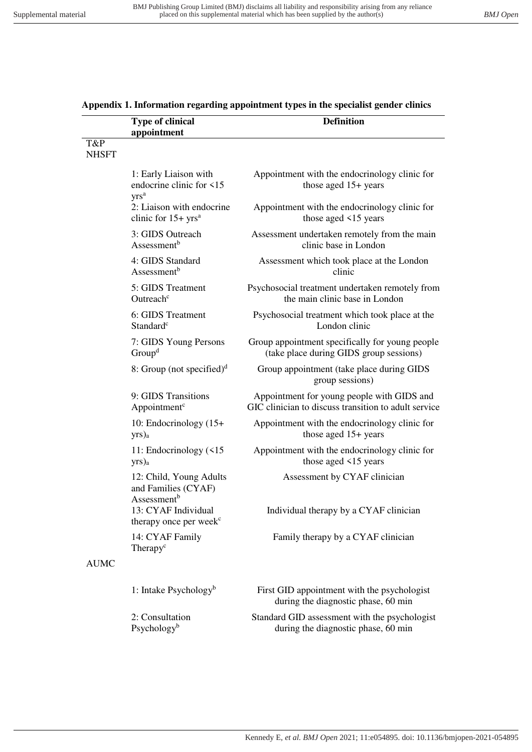|                     | <b>Type of clinical</b><br>appointment                                    | <b>Definition</b>                                                                                  |
|---------------------|---------------------------------------------------------------------------|----------------------------------------------------------------------------------------------------|
| T&P<br><b>NHSFT</b> |                                                                           |                                                                                                    |
|                     | 1: Early Liaison with<br>endocrine clinic for <15<br>yrs <sup>a</sup>     | Appointment with the endocrinology clinic for<br>those aged $15+$ years                            |
|                     | 2: Liaison with endocrine<br>clinic for $15+$ yrs <sup>a</sup>            | Appointment with the endocrinology clinic for<br>those aged <15 years                              |
|                     | 3: GIDS Outreach<br>Assessment <sup>b</sup>                               | Assessment undertaken remotely from the main<br>clinic base in London                              |
|                     | 4: GIDS Standard<br>Assessment <sup>b</sup>                               | Assessment which took place at the London<br>clinic                                                |
|                     | 5: GIDS Treatment<br>Outreach <sup>c</sup>                                | Psychosocial treatment undertaken remotely from<br>the main clinic base in London                  |
|                     | 6: GIDS Treatment<br>Standard <sup>c</sup>                                | Psychosocial treatment which took place at the<br>London clinic                                    |
|                     | 7: GIDS Young Persons<br>Group <sup>d</sup>                               | Group appointment specifically for young people<br>(take place during GIDS group sessions)         |
|                     | 8: Group (not specified) $d$                                              | Group appointment (take place during GIDS<br>group sessions)                                       |
|                     | 9: GIDS Transitions<br>Appointment <sup>c</sup>                           | Appointment for young people with GIDS and<br>GIC clinician to discuss transition to adult service |
|                     | 10: Endocrinology (15+<br>$yrs_a$                                         | Appointment with the endocrinology clinic for<br>those aged $15+$ years                            |
|                     | 11: Endocrinology (<15<br>$yrs_a$                                         | Appointment with the endocrinology clinic for<br>those aged $\leq$ 15 years                        |
|                     | 12: Child, Young Adults<br>and Families (CYAF)<br>Assessment <sup>b</sup> | Assessment by CYAF clinician                                                                       |
|                     | 13: CYAF Individual<br>therapy once per week <sup>c</sup>                 | Individual therapy by a CYAF clinician                                                             |
|                     | 14: CYAF Family<br>Therapy <sup>c</sup>                                   | Family therapy by a CYAF clinician                                                                 |
| <b>AUMC</b>         |                                                                           |                                                                                                    |
|                     | 1: Intake Psychology <sup>b</sup>                                         | First GID appointment with the psychologist<br>during the diagnostic phase, 60 min                 |
|                     | 2: Consultation                                                           | Standard GID assessment with the psychologist                                                      |

Psychology<sup>b</sup>

# **Appendix 1. Information regarding appointment types in the specialist gender clinics**

during the diagnostic phase, 60 min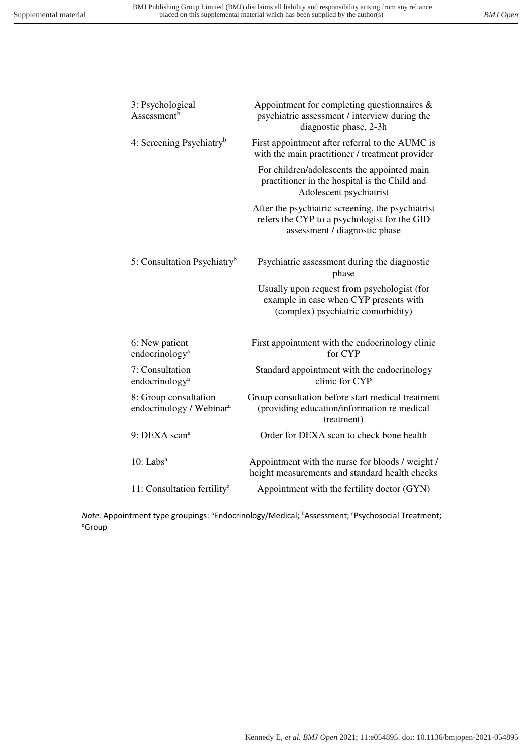| 3: Psychological<br>Assessment <sup>b</sup>                   | Appointment for completing questionnaires $\&$<br>psychiatric assessment / interview during the<br>diagnostic phase, 2-3h          |
|---------------------------------------------------------------|------------------------------------------------------------------------------------------------------------------------------------|
| 4: Screening Psychiatry <sup>b</sup>                          | First appointment after referral to the AUMC is<br>with the main practitioner / treatment provider                                 |
|                                                               | For children/adolescents the appointed main<br>practitioner in the hospital is the Child and<br>Adolescent psychiatrist            |
|                                                               | After the psychiatric screening, the psychiatrist<br>refers the CYP to a psychologist for the GID<br>assessment / diagnostic phase |
| 5: Consultation Psychiatry <sup>b</sup>                       | Psychiatric assessment during the diagnostic<br>phase                                                                              |
|                                                               | Usually upon request from psychologist (for<br>example in case when CYP presents with<br>(complex) psychiatric comorbidity)        |
| 6: New patient<br>endocrinology <sup>a</sup>                  | First appointment with the endocrinology clinic<br>for CYP                                                                         |
| 7: Consultation<br>endocrinology <sup>a</sup>                 | Standard appointment with the endocrinology<br>clinic for CYP                                                                      |
| 8: Group consultation<br>endocrinology / Webinar <sup>a</sup> | Group consultation before start medical treatment<br>(providing education/information re medical<br>treatment)                     |
| 9: DEXA scan <sup>a</sup>                                     | Order for DEXA scan to check bone health                                                                                           |
| $10$ : Labs <sup>a</sup>                                      | Appointment with the nurse for bloods / weight /<br>height measurements and standard health checks                                 |
| 11: Consultation fertility <sup>a</sup>                       | Appointment with the fertility doctor (GYN)                                                                                        |
|                                                               |                                                                                                                                    |

*Note.* Appointment type groupings: <sup>a</sup>Endocrinology/Medical; <sup>b</sup>Assessment; <sup>c</sup>Psychosocial Treatment; dGroup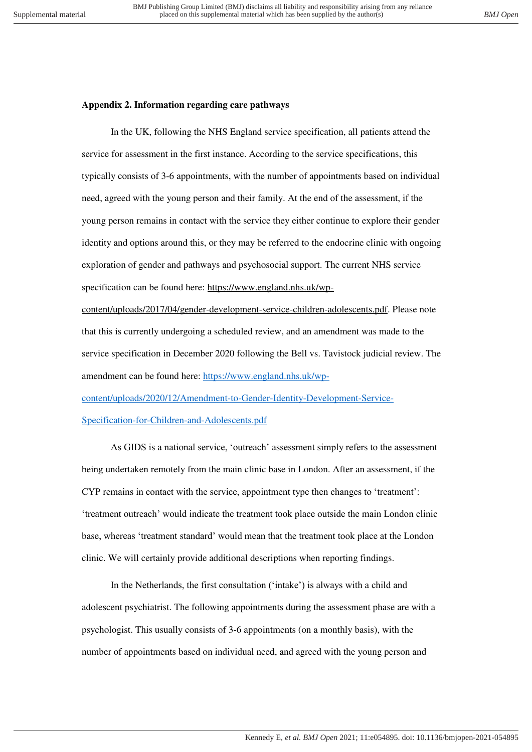# **Appendix 2. Information regarding care pathways**

In the UK, following the NHS England service specification, all patients attend the service for assessment in the first instance. According to the service specifications, this typically consists of 3-6 appointments, with the number of appointments based on individual need, agreed with the young person and their family. At the end of the assessment, if the young person remains in contact with the service they either continue to explore their gender identity and options around this, or they may be referred to the endocrine clinic with ongoing exploration of gender and pathways and psychosocial support. The current NHS service specification can be found here: [https://www.england.nhs.uk/wp-](https://www.england.nhs.uk/wp-content/uploads/2017/04/gender-development-service-children-adolescents.pdf)

[content/uploads/2017/04/gender-development-service-children-adolescents.pdf.](https://www.england.nhs.uk/wp-content/uploads/2017/04/gender-development-service-children-adolescents.pdf) Please note that this is currently undergoing a scheduled review, and an amendment was made to the service specification in December 2020 following the Bell vs. Tavistock judicial review. The amendment can be found here: [https://www.england.nhs.uk/wp](https://www.england.nhs.uk/wp-content/uploads/2020/12/Amendment-to-Gender-Identity-Development-Service-Specification-for-Children-and-Adolescents.pdf)[content/uploads/2020/12/Amendment-to-Gender-Identity-Development-Service-](https://www.england.nhs.uk/wp-content/uploads/2020/12/Amendment-to-Gender-Identity-Development-Service-Specification-for-Children-and-Adolescents.pdf)[Specification-for-Children-and-Adolescents.pdf](https://www.england.nhs.uk/wp-content/uploads/2020/12/Amendment-to-Gender-Identity-Development-Service-Specification-for-Children-and-Adolescents.pdf) 

As GIDS is a national service, 'outreach' assessment simply refers to the assessment being undertaken remotely from the main clinic base in London. After an assessment, if the CYP remains in contact with the service, appointment type then changes to 'treatment': 'treatment outreach' would indicate the treatment took place outside the main London clinic base, whereas 'treatment standard' would mean that the treatment took place at the London clinic. We will certainly provide additional descriptions when reporting findings.

In the Netherlands, the first consultation ('intake') is always with a child and adolescent psychiatrist. The following appointments during the assessment phase are with a psychologist. This usually consists of 3-6 appointments (on a monthly basis), with the number of appointments based on individual need, and agreed with the young person and